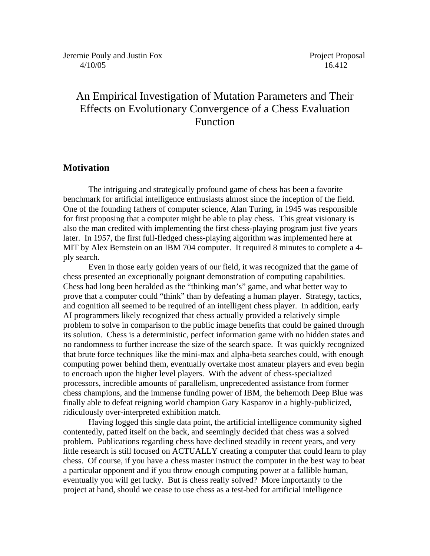# An Empirical Investigation of Mutation Parameters and Their Effects on Evolutionary Convergence of a Chess Evaluation Function

## **Motivation**

 The intriguing and strategically profound game of chess has been a favorite benchmark for artificial intelligence enthusiasts almost since the inception of the field. One of the founding fathers of computer science, Alan Turing, in 1945 was responsible for first proposing that a computer might be able to play chess. This great visionary is also the man credited with implementing the first chess-playing program just five years later. In 1957, the first full-fledged chess-playing algorithm was implemented here at MIT by Alex Bernstein on an IBM 704 computer. It required 8 minutes to complete a 4 ply search.

 Even in those early golden years of our field, it was recognized that the game of chess presented an exceptionally poignant demonstration of computing capabilities. Chess had long been heralded as the "thinking man's" game, and what better way to prove that a computer could "think" than by defeating a human player. Strategy, tactics, and cognition all seemed to be required of an intelligent chess player. In addition, early AI programmers likely recognized that chess actually provided a relatively simple problem to solve in comparison to the public image benefits that could be gained through its solution. Chess is a deterministic, perfect information game with no hidden states and no randomness to further increase the size of the search space. It was quickly recognized that brute force techniques like the mini-max and alpha-beta searches could, with enough computing power behind them, eventually overtake most amateur players and even begin to encroach upon the higher level players. With the advent of chess-specialized processors, incredible amounts of parallelism, unprecedented assistance from former chess champions, and the immense funding power of IBM, the behemoth Deep Blue was finally able to defeat reigning world champion Gary Kasparov in a highly-publicized, ridiculously over-interpreted exhibition match.

Having logged this single data point, the artificial intelligence community sighed contentedly, patted itself on the back, and seemingly decided that chess was a solved problem. Publications regarding chess have declined steadily in recent years, and very little research is still focused on ACTUALLY creating a computer that could learn to play chess. Of course, if you have a chess master instruct the computer in the best way to beat a particular opponent and if you throw enough computing power at a fallible human, eventually you will get lucky. But is chess really solved? More importantly to the project at hand, should we cease to use chess as a test-bed for artificial intelligence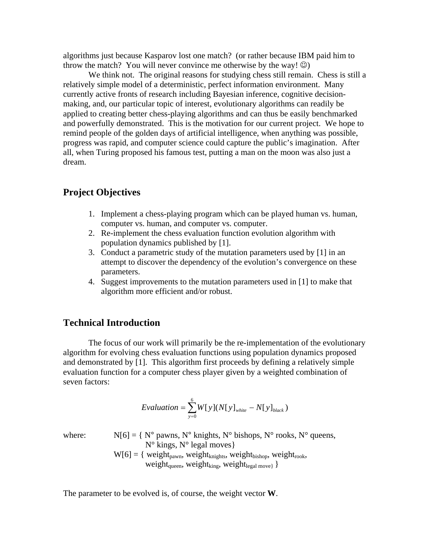algorithms just because Kasparov lost one match? (or rather because IBM paid him to throw the match? You will never convince me otherwise by the way!  $\circledcirc$ )

We think not. The original reasons for studying chess still remain. Chess is still a relatively simple model of a deterministic, perfect information environment. Many currently active fronts of research including Bayesian inference, cognitive decisionmaking, and, our particular topic of interest, evolutionary algorithms can readily be applied to creating better chess-playing algorithms and can thus be easily benchmarked and powerfully demonstrated. This is the motivation for our current project. We hope to remind people of the golden days of artificial intelligence, when anything was possible, progress was rapid, and computer science could capture the public's imagination. After all, when Turing proposed his famous test, putting a man on the moon was also just a dream.

### **Project Objectives**

- 1. Implement a chess-playing program which can be played human vs. human, computer vs. human, and computer vs. computer.
- 2. Re-implement the chess evaluation function evolution algorithm with population dynamics published by [1].
- 3. Conduct a parametric study of the mutation parameters used by [1] in an attempt to discover the dependency of the evolution's convergence on these parameters.
- 4. Suggest improvements to the mutation parameters used in [1] to make that algorithm more efficient and/or robust.

# **Technical Introduction**

The focus of our work will primarily be the re-implementation of the evolutionary algorithm for evolving chess evaluation functions using population dynamics proposed and demonstrated by [1]. This algorithm first proceeds by defining a relatively simple evaluation function for a computer chess player given by a weighted combination of seven factors:

$$
Evaluation = \sum_{y=0}^{6} W[y](N[y]_{white} - N[y]_{black})
$$

where:  $N[6] = \{ N^{\circ} \text{ pawns}, N^{\circ} \text{ knights}, N^{\circ} \text{ bishops}, N^{\circ} \text{ rooks}, N^{\circ} \text{ queens}, N^{\circ} \text{ m}{\text{m}} \}$  $N^{\circ}$  kings,  $N^{\circ}$  legal moves}  $W[6] = \{ weight_{pawn}, weight_{knights}, weight_{bishop}, weight_{rook},$ weight<sub>queen</sub>, weight<sub>king</sub>, weight<sub>legal move}</sub> }

The parameter to be evolved is, of course, the weight vector **W**.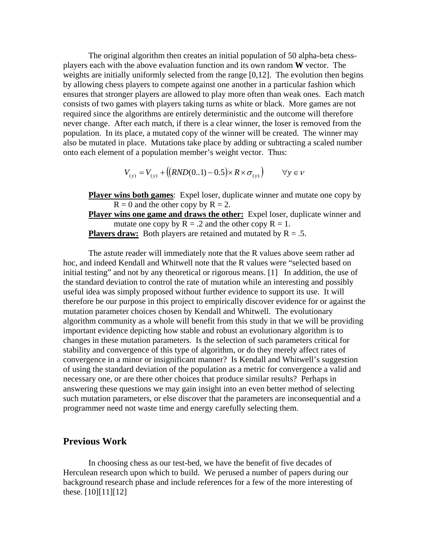The original algorithm then creates an initial population of 50 alpha-beta chessplayers each with the above evaluation function and its own random **W** vector. The weights are initially uniformly selected from the range [0,12]. The evolution then begins by allowing chess players to compete against one another in a particular fashion which ensures that stronger players are allowed to play more often than weak ones. Each match consists of two games with players taking turns as white or black. More games are not required since the algorithms are entirely deterministic and the outcome will therefore never change. After each match, if there is a clear winner, the loser is removed from the population. In its place, a mutated copy of the winner will be created. The winner may also be mutated in place. Mutations take place by adding or subtracting a scaled number onto each element of a population member's weight vector. Thus:

$$
V_{(y)} = V_{(y)} + ((RND(0..1) - 0.5) \times R \times \sigma_{(y)}) \qquad \forall y \in V
$$

**Player wins both games:** Expel loser, duplicate winner and mutate one copy by  $R = 0$  and the other copy by  $R = 2$ .

**Player wins one game and draws the other:** Expel loser, duplicate winner and mutate one copy by  $R = .2$  and the other copy  $R = 1$ . **Players draw:** Both players are retained and mutated by  $R = .5$ .

The astute reader will immediately note that the R values above seem rather ad hoc, and indeed Kendall and Whitwell note that the R values were "selected based on initial testing" and not by any theoretical or rigorous means. [1] In addition, the use of the standard deviation to control the rate of mutation while an interesting and possibly useful idea was simply proposed without further evidence to support its use. It will therefore be our purpose in this project to empirically discover evidence for or against the mutation parameter choices chosen by Kendall and Whitwell. The evolutionary algorithm community as a whole will benefit from this study in that we will be providing important evidence depicting how stable and robust an evolutionary algorithm is to changes in these mutation parameters. Is the selection of such parameters critical for stability and convergence of this type of algorithm, or do they merely affect rates of convergence in a minor or insignificant manner? Is Kendall and Whitwell's suggestion of using the standard deviation of the population as a metric for convergence a valid and necessary one, or are there other choices that produce similar results? Perhaps in answering these questions we may gain insight into an even better method of selecting such mutation parameters, or else discover that the parameters are inconsequential and a programmer need not waste time and energy carefully selecting them.

# **Previous Work**

In choosing chess as our test-bed, we have the benefit of five decades of Herculean research upon which to build. We perused a number of papers during our background research phase and include references for a few of the more interesting of these.  $[10][11][12]$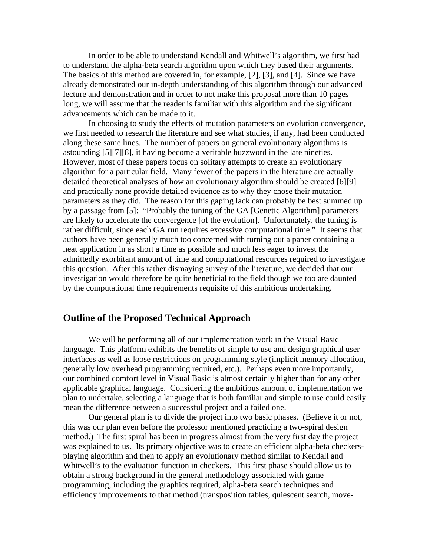In order to be able to understand Kendall and Whitwell's algorithm, we first had to understand the alpha-beta search algorithm upon which they based their arguments. The basics of this method are covered in, for example, [2], [3], and [4]. Since we have already demonstrated our in-depth understanding of this algorithm through our advanced lecture and demonstration and in order to not make this proposal more than 10 pages long, we will assume that the reader is familiar with this algorithm and the significant advancements which can be made to it.

 In choosing to study the effects of mutation parameters on evolution convergence, we first needed to research the literature and see what studies, if any, had been conducted along these same lines. The number of papers on general evolutionary algorithms is astounding [5][7][8], it having become a veritable buzzword in the late nineties. However, most of these papers focus on solitary attempts to create an evolutionary algorithm for a particular field. Many fewer of the papers in the literature are actually detailed theoretical analyses of how an evolutionary algorithm should be created [6][9] and practically none provide detailed evidence as to why they chose their mutation parameters as they did. The reason for this gaping lack can probably be best summed up by a passage from [5]: "Probably the tuning of the GA [Genetic Algorithm] parameters are likely to accelerate the convergence [of the evolution]. Unfortunately, the tuning is rather difficult, since each GA run requires excessive computational time." It seems that authors have been generally much too concerned with turning out a paper containing a neat application in as short a time as possible and much less eager to invest the admittedly exorbitant amount of time and computational resources required to investigate this question. After this rather dismaying survey of the literature, we decided that our investigation would therefore be quite beneficial to the field though we too are daunted by the computational time requirements requisite of this ambitious undertaking.

# **Outline of the Proposed Technical Approach**

 We will be performing all of our implementation work in the Visual Basic language. This platform exhibits the benefits of simple to use and design graphical user interfaces as well as loose restrictions on programming style (implicit memory allocation, generally low overhead programming required, etc.). Perhaps even more importantly, our combined comfort level in Visual Basic is almost certainly higher than for any other applicable graphical language. Considering the ambitious amount of implementation we plan to undertake, selecting a language that is both familiar and simple to use could easily mean the difference between a successful project and a failed one.

 Our general plan is to divide the project into two basic phases. (Believe it or not, this was our plan even before the professor mentioned practicing a two-spiral design method.) The first spiral has been in progress almost from the very first day the project was explained to us. Its primary objective was to create an efficient alpha-beta checkersplaying algorithm and then to apply an evolutionary method similar to Kendall and Whitwell's to the evaluation function in checkers. This first phase should allow us to obtain a strong background in the general methodology associated with game programming, including the graphics required, alpha-beta search techniques and efficiency improvements to that method (transposition tables, quiescent search, move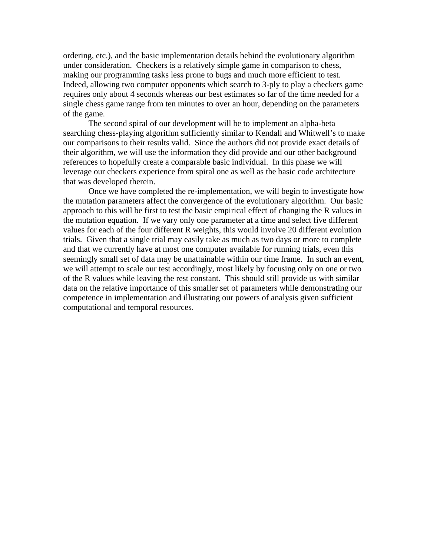ordering, etc.), and the basic implementation details behind the evolutionary algorithm under consideration. Checkers is a relatively simple game in comparison to chess, making our programming tasks less prone to bugs and much more efficient to test. Indeed, allowing two computer opponents which search to 3-ply to play a checkers game requires only about 4 seconds whereas our best estimates so far of the time needed for a single chess game range from ten minutes to over an hour, depending on the parameters of the game.

 The second spiral of our development will be to implement an alpha-beta searching chess-playing algorithm sufficiently similar to Kendall and Whitwell's to make our comparisons to their results valid. Since the authors did not provide exact details of their algorithm, we will use the information they did provide and our other background references to hopefully create a comparable basic individual. In this phase we will leverage our checkers experience from spiral one as well as the basic code architecture that was developed therein.

 Once we have completed the re-implementation, we will begin to investigate how the mutation parameters affect the convergence of the evolutionary algorithm. Our basic approach to this will be first to test the basic empirical effect of changing the R values in the mutation equation. If we vary only one parameter at a time and select five different values for each of the four different R weights, this would involve 20 different evolution trials. Given that a single trial may easily take as much as two days or more to complete and that we currently have at most one computer available for running trials, even this seemingly small set of data may be unattainable within our time frame. In such an event, we will attempt to scale our test accordingly, most likely by focusing only on one or two of the R values while leaving the rest constant. This should still provide us with similar data on the relative importance of this smaller set of parameters while demonstrating our competence in implementation and illustrating our powers of analysis given sufficient computational and temporal resources.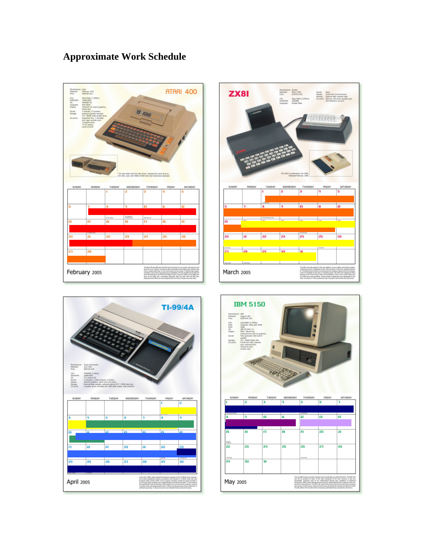# **Approximate Work Schedule**







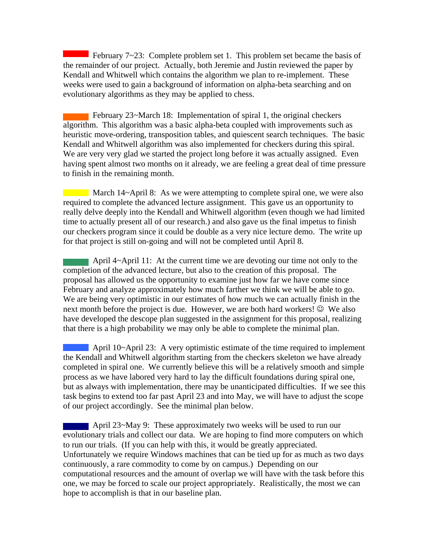February 7~23: Complete problem set 1. This problem set became the basis of the remainder of our project. Actually, both Jeremie and Justin reviewed the paper by Kendall and Whitwell which contains the algorithm we plan to re-implement. These weeks were used to gain a background of information on alpha-beta searching and on evolutionary algorithms as they may be applied to chess.

 February 23~March 18: Implementation of spiral 1, the original checkers algorithm. This algorithm was a basic alpha-beta coupled with improvements such as heuristic move-ordering, transposition tables, and quiescent search techniques. The basic Kendall and Whitwell algorithm was also implemented for checkers during this spiral. We are very very glad we started the project long before it was actually assigned. Even having spent almost two months on it already, we are feeling a great deal of time pressure to finish in the remaining month.

March 14~April 8: As we were attempting to complete spiral one, we were also required to complete the advanced lecture assignment. This gave us an opportunity to really delve deeply into the Kendall and Whitwell algorithm (even though we had limited time to actually present all of our research.) and also gave us the final impetus to finish our checkers program since it could be double as a very nice lecture demo. The write up for that project is still on-going and will not be completed until April 8.

 April 4~April 11: At the current time we are devoting our time not only to the completion of the advanced lecture, but also to the creation of this proposal. The proposal has allowed us the opportunity to examine just how far we have come since February and analyze approximately how much farther we think we will be able to go. We are being very optimistic in our estimates of how much we can actually finish in the next month before the project is due. However, we are both hard workers!  $\odot$  We also have developed the descope plan suggested in the assignment for this proposal, realizing that there is a high probability we may only be able to complete the minimal plan.

 April 10~April 23: A very optimistic estimate of the time required to implement the Kendall and Whitwell algorithm starting from the checkers skeleton we have already completed in spiral one. We currently believe this will be a relatively smooth and simple process as we have labored very hard to lay the difficult foundations during spiral one, but as always with implementation, there may be unanticipated difficulties. If we see this task begins to extend too far past April 23 and into May, we will have to adjust the scope of our project accordingly. See the minimal plan below.

April 23~May 9: These approximately two weeks will be used to run our evolutionary trials and collect our data. We are hoping to find more computers on which to run our trials. (If you can help with this, it would be greatly appreciated. Unfortunately we require Windows machines that can be tied up for as much as two days continuously, a rare commodity to come by on campus.) Depending on our computational resources and the amount of overlap we will have with the task before this one, we may be forced to scale our project appropriately. Realistically, the most we can hope to accomplish is that in our baseline plan.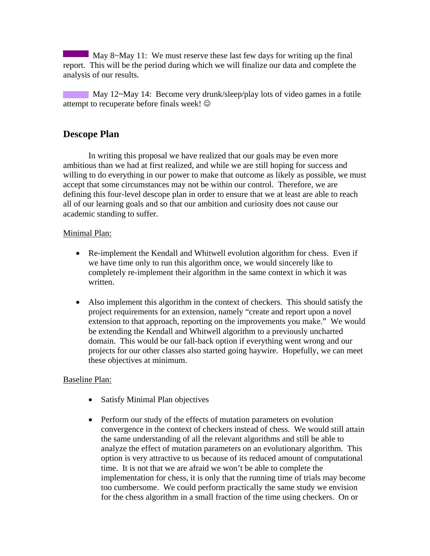May 8~May 11: We must reserve these last few days for writing up the final report. This will be the period during which we will finalize our data and complete the analysis of our results.

May 12~May 14: Become very drunk/sleep/play lots of video games in a futile attempt to recuperate before finals week!  $\odot$ 

# **Descope Plan**

In writing this proposal we have realized that our goals may be even more ambitious than we had at first realized, and while we are still hoping for success and willing to do everything in our power to make that outcome as likely as possible, we must accept that some circumstances may not be within our control. Therefore, we are defining this four-level descope plan in order to ensure that we at least are able to reach all of our learning goals and so that our ambition and curiosity does not cause our academic standing to suffer.

### Minimal Plan:

- Re-implement the Kendall and Whitwell evolution algorithm for chess. Even if we have time only to run this algorithm once, we would sincerely like to completely re-implement their algorithm in the same context in which it was written.
- Also implement this algorithm in the context of checkers. This should satisfy the project requirements for an extension, namely "create and report upon a novel extension to that approach, reporting on the improvements you make." We would be extending the Kendall and Whitwell algorithm to a previously uncharted domain. This would be our fall-back option if everything went wrong and our projects for our other classes also started going haywire. Hopefully, we can meet these objectives at minimum.

## Baseline Plan:

- Satisfy Minimal Plan objectives
- Perform our study of the effects of mutation parameters on evolution convergence in the context of checkers instead of chess. We would still attain the same understanding of all the relevant algorithms and still be able to analyze the effect of mutation parameters on an evolutionary algorithm. This option is very attractive to us because of its reduced amount of computational time. It is not that we are afraid we won't be able to complete the implementation for chess, it is only that the running time of trials may become too cumbersome. We could perform practically the same study we envision for the chess algorithm in a small fraction of the time using checkers. On or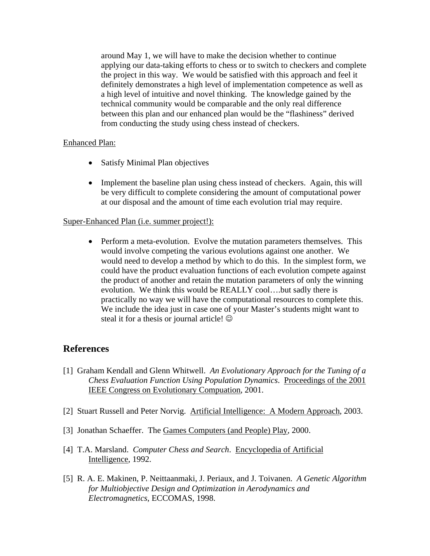around May 1, we will have to make the decision whether to continue applying our data-taking efforts to chess or to switch to checkers and complete the project in this way. We would be satisfied with this approach and feel it definitely demonstrates a high level of implementation competence as well as a high level of intuitive and novel thinking. The knowledge gained by the technical community would be comparable and the only real difference between this plan and our enhanced plan would be the "flashiness" derived from conducting the study using chess instead of checkers.

#### Enhanced Plan:

- Satisfy Minimal Plan objectives
- Implement the baseline plan using chess instead of checkers. Again, this will be very difficult to complete considering the amount of computational power at our disposal and the amount of time each evolution trial may require.

#### Super-Enhanced Plan (i.e. summer project!):

• Perform a meta-evolution. Evolve the mutation parameters themselves. This would involve competing the various evolutions against one another. We would need to develop a method by which to do this. In the simplest form, we could have the product evaluation functions of each evolution compete against the product of another and retain the mutation parameters of only the winning evolution. We think this would be REALLY cool….but sadly there is practically no way we will have the computational resources to complete this. We include the idea just in case one of your Master's students might want to steal it for a thesis or journal article!  $\odot$ 

## **References**

- [1] Graham Kendall and Glenn Whitwell. *An Evolutionary Approach for the Tuning of a Chess Evaluation Function Using Population Dynamics*. Proceedings of the 2001 IEEE Congress on Evolutionary Compuation, 2001.
- [2] Stuart Russell and Peter Norvig. Artificial Intelligence: A Modern Approach, 2003.
- [3] Jonathan Schaeffer. The Games Computers (and People) Play, 2000.
- [4] T.A. Marsland. *Computer Chess and Search*. Encyclopedia of Artificial Intelligence, 1992.
- [5] R. A. E. Makinen, P. Neittaanmaki, J. Periaux, and J. Toivanen. *A Genetic Algorithm for Multiobjective Design and Optimization in Aerodynamics and Electromagnetics*, ECCOMAS, 1998.